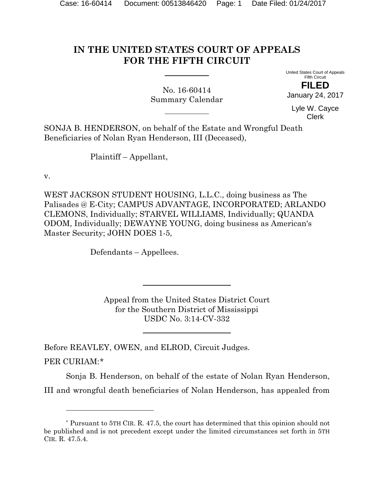# **IN THE UNITED STATES COURT OF APPEALS FOR THE FIFTH CIRCUIT**

No. 16-60414 Summary Calendar United States Court of Appeals Fifth Circuit **FILED**

January 24, 2017

Lyle W. Cayce Clerk

SONJA B. HENDERSON, on behalf of the Estate and Wrongful Death Beneficiaries of Nolan Ryan Henderson, III (Deceased),

Plaintiff – Appellant,

v.

l

WEST JACKSON STUDENT HOUSING, L.L.C., doing business as The Palisades @ E-City; CAMPUS ADVANTAGE, INCORPORATED; ARLANDO CLEMONS, Individually; STARVEL WILLIAMS, Individually; QUANDA ODOM, Individually; DEWAYNE YOUNG, doing business as American's Master Security; JOHN DOES 1-5,

Defendants – Appellees.

Appeal from the United States District Court for the Southern District of Mississippi USDC No. 3:14-CV-332

Before REAVLEY, OWEN, and ELROD, Circuit Judges. PER CURIAM:\*

Sonja B. Henderson, on behalf of the estate of Nolan Ryan Henderson, III and wrongful death beneficiaries of Nolan Henderson, has appealed from

<sup>\*</sup> Pursuant to 5TH CIR. R. 47.5, the court has determined that this opinion should not be published and is not precedent except under the limited circumstances set forth in 5TH CIR. R. 47.5.4.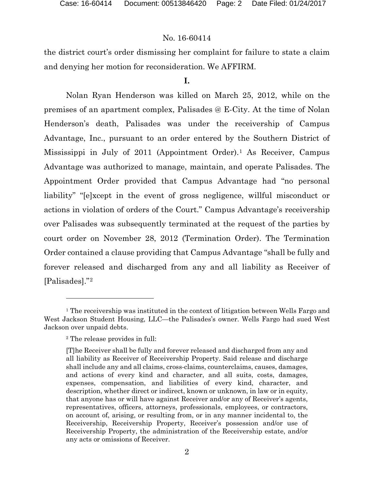the district court's order dismissing her complaint for failure to state a claim and denying her motion for reconsideration. We AFFIRM.

# **I.**

Nolan Ryan Henderson was killed on March 25, 2012, while on the premises of an apartment complex, Palisades @ E-City. At the time of Nolan Henderson's death, Palisades was under the receivership of Campus Advantage, Inc., pursuant to an order entered by the Southern District of Mississippi in July of 2011 (Appointment Order).1 As Receiver, Campus Advantage was authorized to manage, maintain, and operate Palisades. The Appointment Order provided that Campus Advantage had "no personal liability" "[e]xcept in the event of gross negligence, willful misconduct or actions in violation of orders of the Court." Campus Advantage's receivership over Palisades was subsequently terminated at the request of the parties by court order on November 28, 2012 (Termination Order). The Termination Order contained a clause providing that Campus Advantage "shall be fully and forever released and discharged from any and all liability as Receiver of [Palisades]."2

l

<sup>&</sup>lt;sup>1</sup> The receivership was instituted in the context of litigation between Wells Fargo and West Jackson Student Housing, LLC—the Palisades's owner. Wells Fargo had sued West Jackson over unpaid debts.

<sup>2</sup> The release provides in full:

<sup>[</sup>T]he Receiver shall be fully and forever released and discharged from any and all liability as Receiver of Receivership Property. Said release and discharge shall include any and all claims, cross-claims, counterclaims, causes, damages, and actions of every kind and character, and all suits, costs, damages, expenses, compensation, and liabilities of every kind, character, and description, whether direct or indirect, known or unknown, in law or in equity, that anyone has or will have against Receiver and/or any of Receiver's agents, representatives, officers, attorneys, professionals, employees, or contractors, on account of, arising, or resulting from, or in any manner incidental to, the Receivership, Receivership Property, Receiver's possession and/or use of Receivership Property, the administration of the Receivership estate, and/or any acts or omissions of Receiver.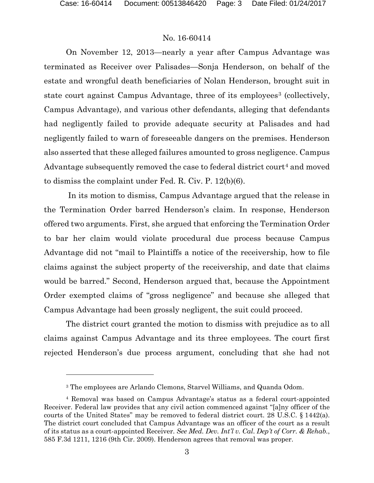$\overline{a}$ 

# No. 16-60414

On November 12, 2013—nearly a year after Campus Advantage was terminated as Receiver over Palisades—Sonja Henderson, on behalf of the estate and wrongful death beneficiaries of Nolan Henderson, brought suit in state court against Campus Advantage, three of its employees<sup>3</sup> (collectively, Campus Advantage), and various other defendants, alleging that defendants had negligently failed to provide adequate security at Palisades and had negligently failed to warn of foreseeable dangers on the premises. Henderson also asserted that these alleged failures amounted to gross negligence. Campus Advantage subsequently removed the case to federal district court<sup>4</sup> and moved to dismiss the complaint under Fed. R. Civ. P. 12(b)(6).

 In its motion to dismiss, Campus Advantage argued that the release in the Termination Order barred Henderson's claim. In response, Henderson offered two arguments. First, she argued that enforcing the Termination Order to bar her claim would violate procedural due process because Campus Advantage did not "mail to Plaintiffs a notice of the receivership, how to file claims against the subject property of the receivership, and date that claims would be barred." Second, Henderson argued that, because the Appointment Order exempted claims of "gross negligence" and because she alleged that Campus Advantage had been grossly negligent, the suit could proceed.

The district court granted the motion to dismiss with prejudice as to all claims against Campus Advantage and its three employees. The court first rejected Henderson's due process argument, concluding that she had not

<sup>3</sup> The employees are Arlando Clemons, Starvel Williams, and Quanda Odom.

<sup>4</sup> Removal was based on Campus Advantage's status as a federal court-appointed Receiver. Federal law provides that any civil action commenced against "[a]ny officer of the courts of the United States" may be removed to federal district court. 28 U.S.C. § 1442(a). The district court concluded that Campus Advantage was an officer of the court as a result of its status as a court-appointed Receiver. *See Med. Dev. Int'l v. Cal. Dep't of Corr. & Rehab.*, 585 F.3d 1211, 1216 (9th Cir. 2009). Henderson agrees that removal was proper.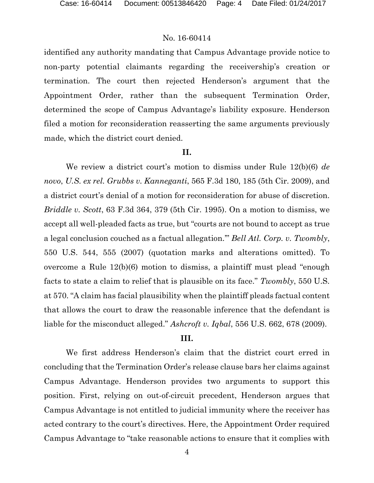identified any authority mandating that Campus Advantage provide notice to non-party potential claimants regarding the receivership's creation or termination. The court then rejected Henderson's argument that the Appointment Order, rather than the subsequent Termination Order, determined the scope of Campus Advantage's liability exposure. Henderson filed a motion for reconsideration reasserting the same arguments previously made, which the district court denied.

#### **II.**

We review a district court's motion to dismiss under Rule 12(b)(6) *de novo*, *U.S. ex rel. Grubbs v. Kanneganti*, 565 F.3d 180, 185 (5th Cir. 2009), and a district court's denial of a motion for reconsideration for abuse of discretion. *Briddle v. Scott*, 63 F.3d 364, 379 (5th Cir. 1995). On a motion to dismiss, we accept all well-pleaded facts as true, but "courts are not bound to accept as true a legal conclusion couched as a factual allegation.'" *Bell Atl. Corp. v. Twombly*, 550 U.S. 544, 555 (2007) (quotation marks and alterations omitted). To overcome a Rule 12(b)(6) motion to dismiss, a plaintiff must plead "enough facts to state a claim to relief that is plausible on its face." *Twombly*, 550 U.S. at 570. "A claim has facial plausibility when the plaintiff pleads factual content that allows the court to draw the reasonable inference that the defendant is liable for the misconduct alleged." *Ashcroft v. Iqbal*, 556 U.S. 662, 678 (2009).

### **III.**

We first address Henderson's claim that the district court erred in concluding that the Termination Order's release clause bars her claims against Campus Advantage. Henderson provides two arguments to support this position. First, relying on out-of-circuit precedent, Henderson argues that Campus Advantage is not entitled to judicial immunity where the receiver has acted contrary to the court's directives. Here, the Appointment Order required Campus Advantage to "take reasonable actions to ensure that it complies with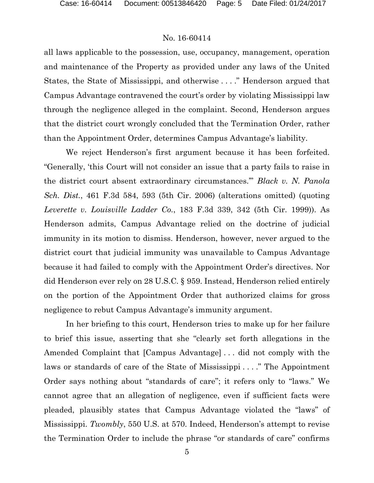all laws applicable to the possession, use, occupancy, management, operation and maintenance of the Property as provided under any laws of the United States, the State of Mississippi, and otherwise . . . ." Henderson argued that Campus Advantage contravened the court's order by violating Mississippi law through the negligence alleged in the complaint. Second, Henderson argues that the district court wrongly concluded that the Termination Order, rather than the Appointment Order, determines Campus Advantage's liability.

We reject Henderson's first argument because it has been forfeited. "Generally, 'this Court will not consider an issue that a party fails to raise in the district court absent extraordinary circumstances.'" *Black v. N. Panola Sch. Dist.*, 461 F.3d 584, 593 (5th Cir. 2006) (alterations omitted) (quoting *Leverette v. Louisville Ladder Co.*, 183 F.3d 339, 342 (5th Cir. 1999)). As Henderson admits, Campus Advantage relied on the doctrine of judicial immunity in its motion to dismiss. Henderson, however, never argued to the district court that judicial immunity was unavailable to Campus Advantage because it had failed to comply with the Appointment Order's directives. Nor did Henderson ever rely on 28 U.S.C. § 959. Instead, Henderson relied entirely on the portion of the Appointment Order that authorized claims for gross negligence to rebut Campus Advantage's immunity argument.

In her briefing to this court, Henderson tries to make up for her failure to brief this issue, asserting that she "clearly set forth allegations in the Amended Complaint that [Campus Advantage] . . . did not comply with the laws or standards of care of the State of Mississippi . . . ." The Appointment Order says nothing about "standards of care"; it refers only to "laws." We cannot agree that an allegation of negligence, even if sufficient facts were pleaded, plausibly states that Campus Advantage violated the "laws" of Mississippi. *Twombly*, 550 U.S. at 570. Indeed, Henderson's attempt to revise the Termination Order to include the phrase "or standards of care" confirms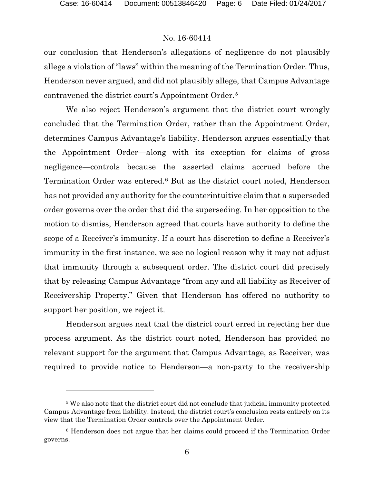l

#### No. 16-60414

our conclusion that Henderson's allegations of negligence do not plausibly allege a violation of "laws" within the meaning of the Termination Order. Thus, Henderson never argued, and did not plausibly allege, that Campus Advantage contravened the district court's Appointment Order.5

We also reject Henderson's argument that the district court wrongly concluded that the Termination Order, rather than the Appointment Order, determines Campus Advantage's liability. Henderson argues essentially that the Appointment Order—along with its exception for claims of gross negligence—controls because the asserted claims accrued before the Termination Order was entered.6 But as the district court noted, Henderson has not provided any authority for the counterintuitive claim that a superseded order governs over the order that did the superseding. In her opposition to the motion to dismiss, Henderson agreed that courts have authority to define the scope of a Receiver's immunity. If a court has discretion to define a Receiver's immunity in the first instance, we see no logical reason why it may not adjust that immunity through a subsequent order. The district court did precisely that by releasing Campus Advantage "from any and all liability as Receiver of Receivership Property." Given that Henderson has offered no authority to support her position, we reject it.

Henderson argues next that the district court erred in rejecting her due process argument. As the district court noted, Henderson has provided no relevant support for the argument that Campus Advantage, as Receiver, was required to provide notice to Henderson—a non-party to the receivership

<sup>5</sup> We also note that the district court did not conclude that judicial immunity protected Campus Advantage from liability. Instead, the district court's conclusion rests entirely on its view that the Termination Order controls over the Appointment Order.

<sup>6</sup> Henderson does not argue that her claims could proceed if the Termination Order governs.